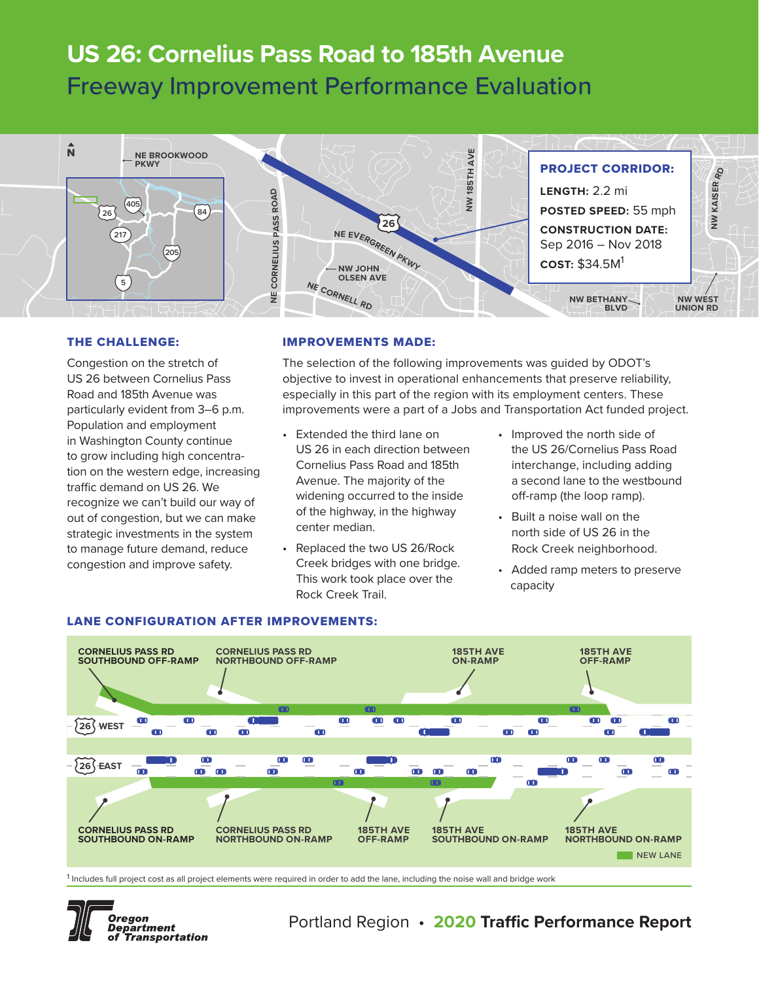# **US 26: Cornelius Pass Road to 185th Avenue** Freeway Improvement Performance Evaluation



#### THE CHALLENGE:

Congestion on the stretch of US 26 between Cornelius Pass Road and 185th Avenue was particularly evident from 3–6 p.m. Population and employment in Washington County continue to grow including high concentration on the western edge, increasing traffic demand on US 26. We recognize we can't build our way of out of congestion, but we can make strategic investments in the system to manage future demand, reduce congestion and improve safety.

#### IMPROVEMENTS MADE:

The selection of the following improvements was guided by ODOT's objective to invest in operational enhancements that preserve reliability, especially in this part of the region with its employment centers. These improvements were a part of a Jobs and Transportation Act funded project.

- Extended the third lane on US 26 in each direction between Cornelius Pass Road and 185th Avenue. The majority of the widening occurred to the inside of the highway, in the highway center median.
- Replaced the two US 26/Rock Creek bridges with one bridge. This work took place over the Rock Creek Trail.
- Improved the north side of the US 26/Cornelius Pass Road interchange, including adding a second lane to the westbound off-ramp (the loop ramp).
- Built a noise wall on the north side of US 26 in the Rock Creek neighborhood.
- Added ramp meters to preserve capacity



#### LANE CONFIGURATION AFTER IMPROVEMENTS:

<sup>&</sup>lt;sup>1</sup> Includes full project cost as all project elements were required in order to add the lane, including the noise wall and bridge work



## Portland Region • **2020 Traffic Performance Report**